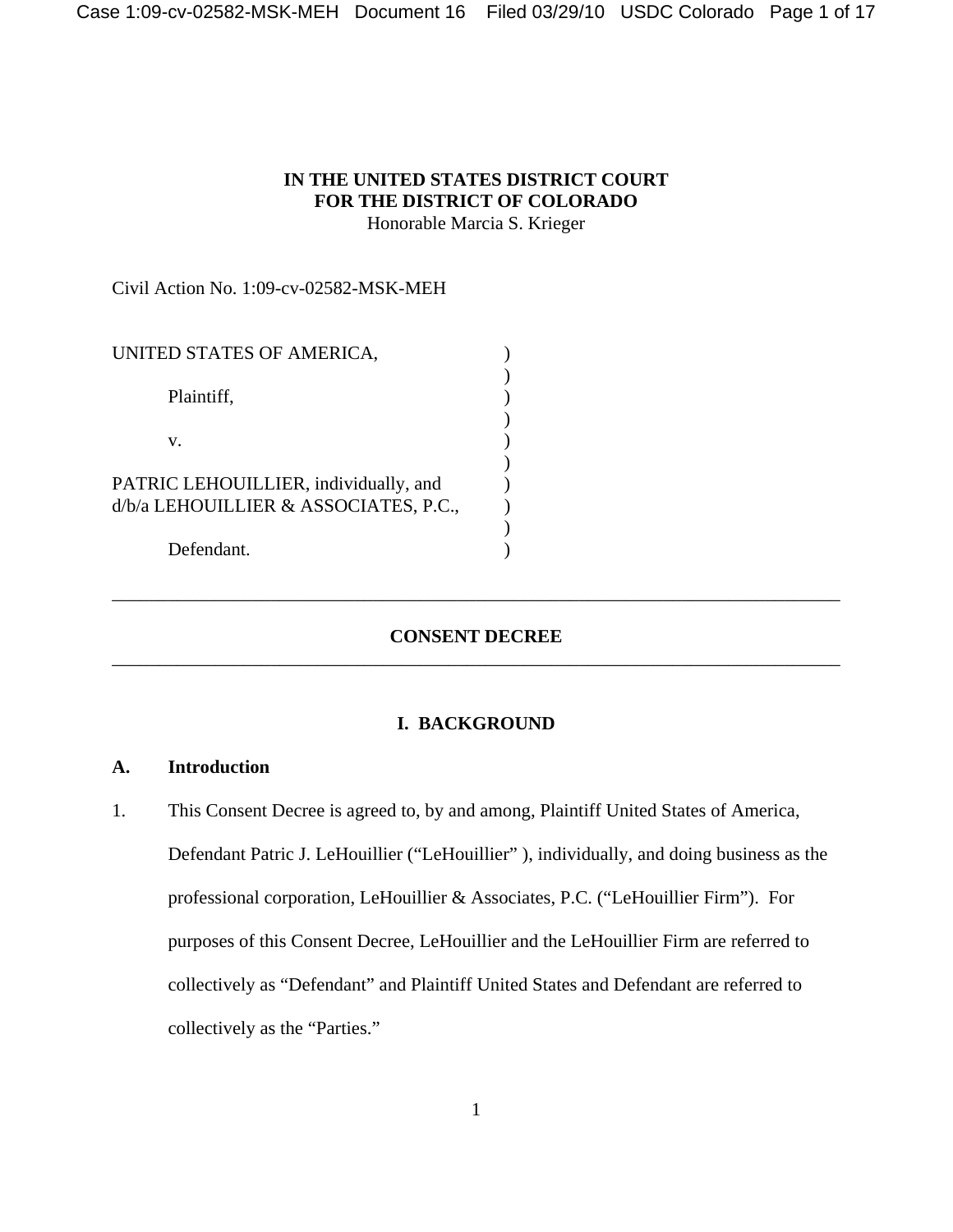# **IN THE UNITED STATES DISTRICT COURT FOR THE DISTRICT OF COLORADO** Honorable Marcia S. Krieger

Civil Action No. 1:09-cv-02582-MSK-MEH

| UNITED STATES OF AMERICA,                                                      |  |
|--------------------------------------------------------------------------------|--|
| Plaintiff,                                                                     |  |
| V.                                                                             |  |
| PATRIC LEHOUILLIER, individually, and<br>d/b/a LEHOUILLIER & ASSOCIATES, P.C., |  |
| Defendant.                                                                     |  |

# **CONSENT DECREE** \_\_\_\_\_\_\_\_\_\_\_\_\_\_\_\_\_\_\_\_\_\_\_\_\_\_\_\_\_\_\_\_\_\_\_\_\_\_\_\_\_\_\_\_\_\_\_\_\_\_\_\_\_\_\_\_\_\_\_\_\_\_\_\_\_\_\_\_\_\_\_\_\_\_\_\_\_\_

\_\_\_\_\_\_\_\_\_\_\_\_\_\_\_\_\_\_\_\_\_\_\_\_\_\_\_\_\_\_\_\_\_\_\_\_\_\_\_\_\_\_\_\_\_\_\_\_\_\_\_\_\_\_\_\_\_\_\_\_\_\_\_\_\_\_\_\_\_\_\_\_\_\_\_\_\_\_

#### **I. BACKGROUND**

## **A. Introduction**

1. This Consent Decree is agreed to, by and among, Plaintiff United States of America, Defendant Patric J. LeHouillier ("LeHouillier" ), individually, and doing business as the professional corporation, LeHouillier & Associates, P.C. ("LeHouillier Firm"). For purposes of this Consent Decree, LeHouillier and the LeHouillier Firm are referred to collectively as "Defendant" and Plaintiff United States and Defendant are referred to collectively as the "Parties."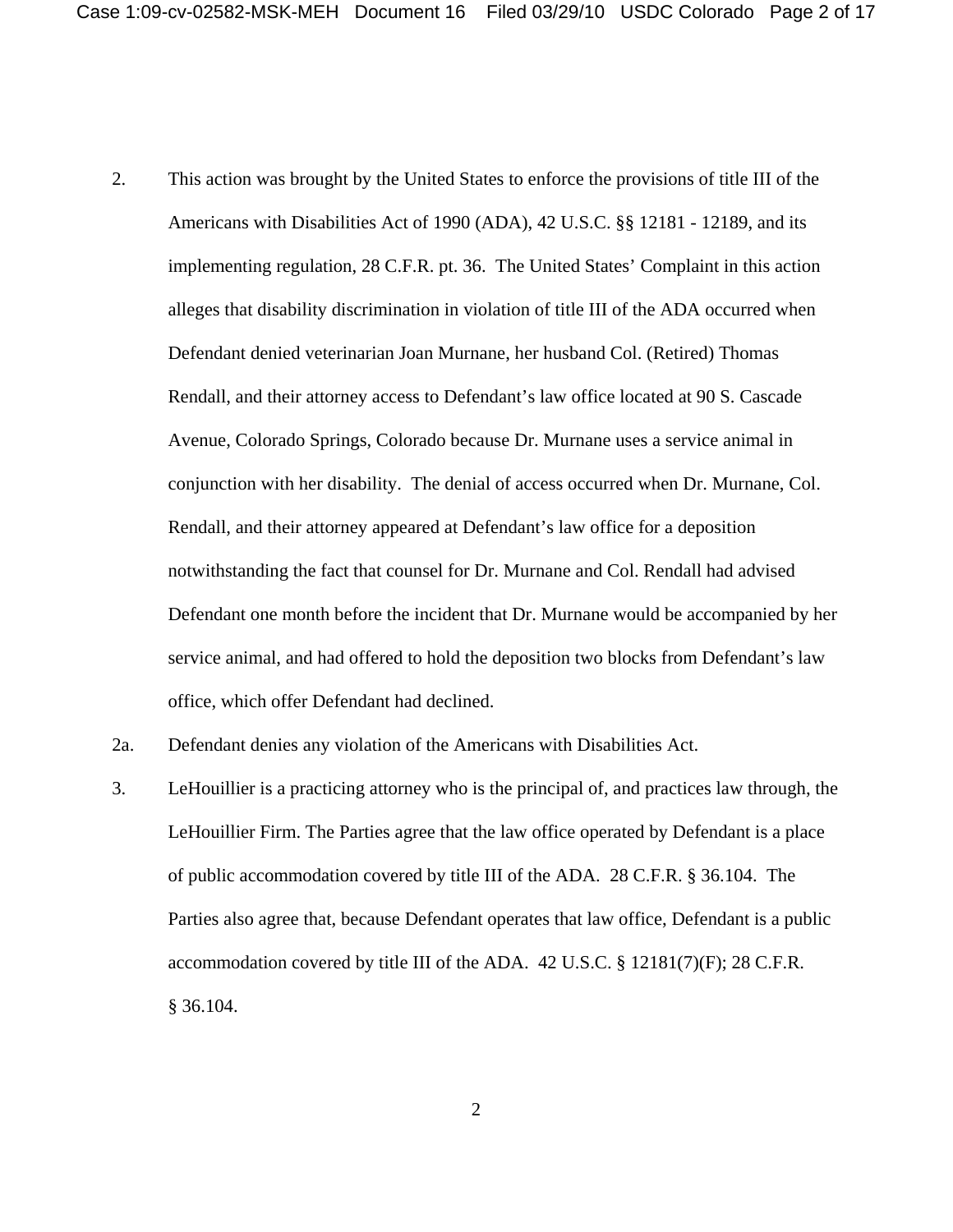- 2. This action was brought by the United States to enforce the provisions of title III of the Americans with Disabilities Act of 1990 (ADA), 42 U.S.C. §§ 12181 - 12189, and its implementing regulation, 28 C.F.R. pt. 36. The United States' Complaint in this action alleges that disability discrimination in violation of title III of the ADA occurred when Defendant denied veterinarian Joan Murnane, her husband Col. (Retired) Thomas Rendall, and their attorney access to Defendant's law office located at 90 S. Cascade Avenue, Colorado Springs, Colorado because Dr. Murnane uses a service animal in conjunction with her disability. The denial of access occurred when Dr. Murnane, Col. Rendall, and their attorney appeared at Defendant's law office for a deposition notwithstanding the fact that counsel for Dr. Murnane and Col. Rendall had advised Defendant one month before the incident that Dr. Murnane would be accompanied by her service animal, and had offered to hold the deposition two blocks from Defendant's law office, which offer Defendant had declined.
- 2a. Defendant denies any violation of the Americans with Disabilities Act.
- 3. LeHouillier is a practicing attorney who is the principal of, and practices law through, the LeHouillier Firm. The Parties agree that the law office operated by Defendant is a place of public accommodation covered by title III of the ADA. 28 C.F.R. § 36.104. The Parties also agree that, because Defendant operates that law office, Defendant is a public accommodation covered by title III of the ADA. 42 U.S.C. § 12181(7)(F); 28 C.F.R. § 36.104.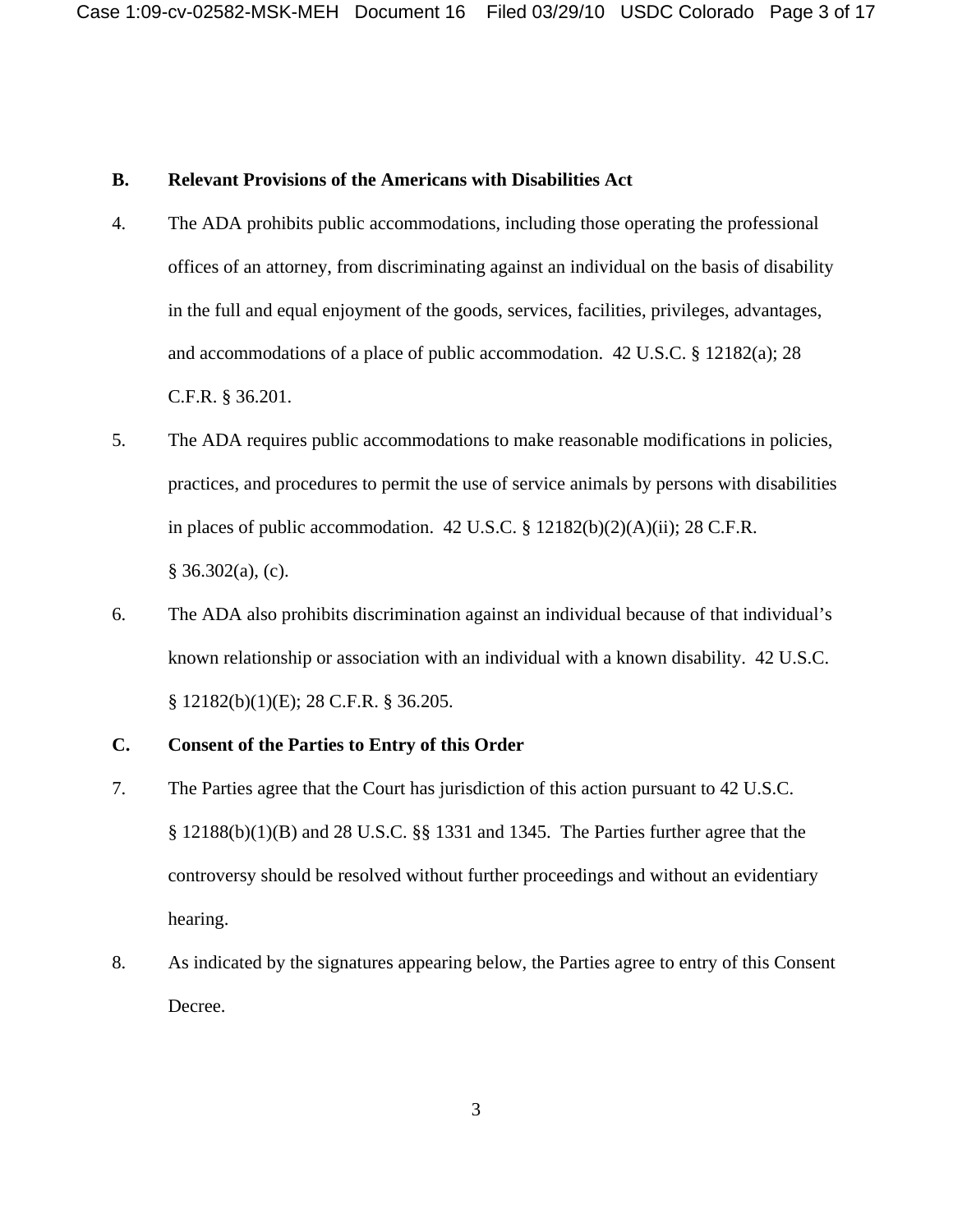## **B. Relevant Provisions of the Americans with Disabilities Act**

- 4. The ADA prohibits public accommodations, including those operating the professional offices of an attorney, from discriminating against an individual on the basis of disability in the full and equal enjoyment of the goods, services, facilities, privileges, advantages, and accommodations of a place of public accommodation. 42 U.S.C. § 12182(a); 28 C.F.R. § 36.201.
- 5. The ADA requires public accommodations to make reasonable modifications in policies, practices, and procedures to permit the use of service animals by persons with disabilities in places of public accommodation.  $42 \text{ U.S.C.}$  §  $12182(b)(2)(A)(ii)$ ; 28 C.F.R.  $§ 36.302(a), (c).$
- 6. The ADA also prohibits discrimination against an individual because of that individual's known relationship or association with an individual with a known disability. 42 U.S.C. § 12182(b)(1)(E); 28 C.F.R. § 36.205.

# **C. Consent of the Parties to Entry of this Order**

- 7. The Parties agree that the Court has jurisdiction of this action pursuant to 42 U.S.C. § 12188(b)(1)(B) and 28 U.S.C. §§ 1331 and 1345. The Parties further agree that the controversy should be resolved without further proceedings and without an evidentiary hearing.
- 8. As indicated by the signatures appearing below, the Parties agree to entry of this Consent Decree.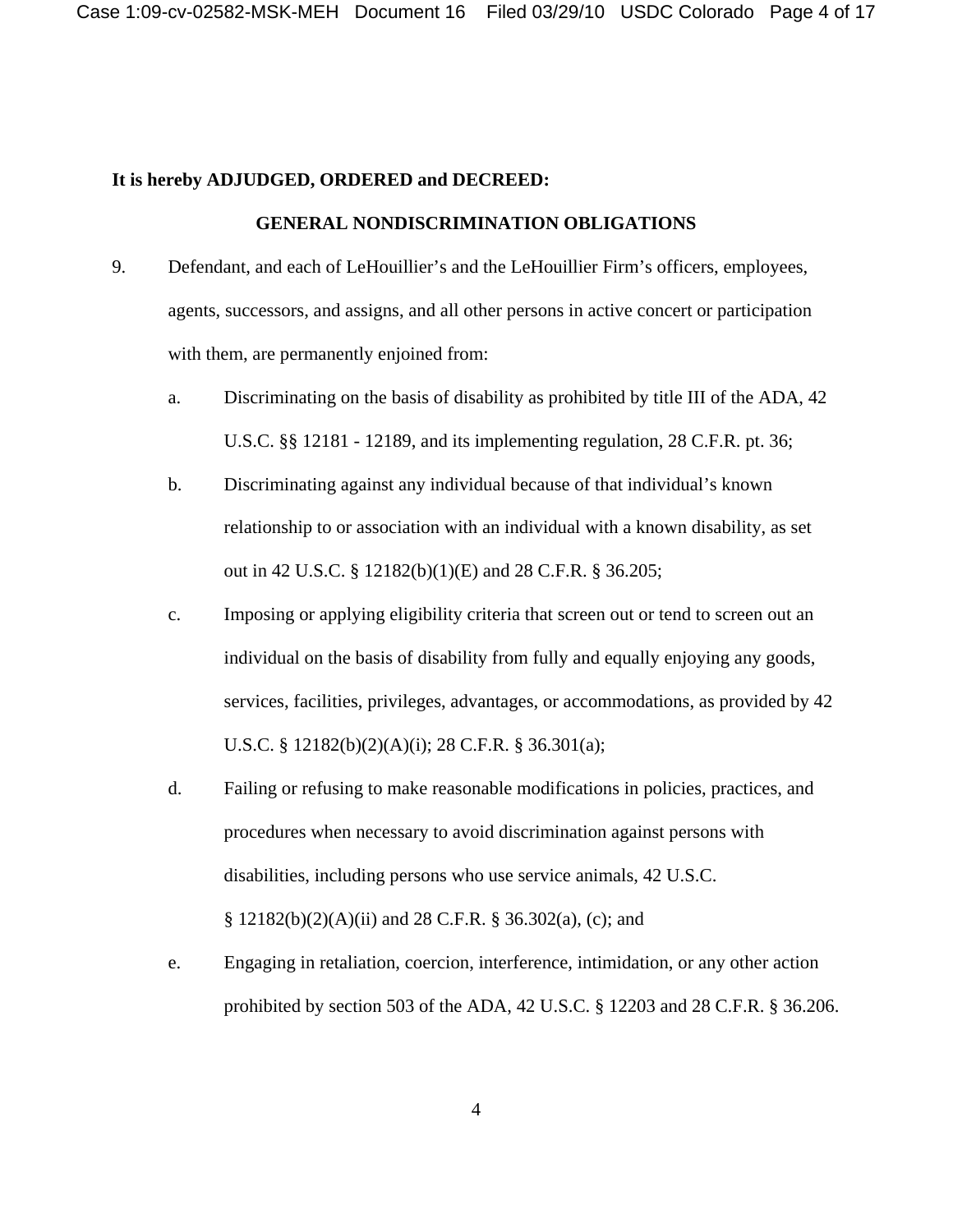## **It is hereby ADJUDGED, ORDERED and DECREED:**

### **GENERAL NONDISCRIMINATION OBLIGATIONS**

- 9. Defendant, and each of LeHouillier's and the LeHouillier Firm's officers, employees, agents, successors, and assigns, and all other persons in active concert or participation with them, are permanently enjoined from:
	- a. Discriminating on the basis of disability as prohibited by title III of the ADA, 42 U.S.C. §§ 12181 - 12189, and its implementing regulation, 28 C.F.R. pt. 36;
	- b. Discriminating against any individual because of that individual's known relationship to or association with an individual with a known disability, as set out in 42 U.S.C. § 12182(b)(1)(E) and 28 C.F.R. § 36.205;
	- c. Imposing or applying eligibility criteria that screen out or tend to screen out an individual on the basis of disability from fully and equally enjoying any goods, services, facilities, privileges, advantages, or accommodations, as provided by 42 U.S.C. § 12182(b)(2)(A)(i); 28 C.F.R. § 36.301(a);
	- d. Failing or refusing to make reasonable modifications in policies, practices, and procedures when necessary to avoid discrimination against persons with disabilities, including persons who use service animals, 42 U.S.C. § 12182(b)(2)(A)(ii) and 28 C.F.R. § 36.302(a), (c); and
	- e. Engaging in retaliation, coercion, interference, intimidation, or any other action prohibited by section 503 of the ADA, 42 U.S.C. § 12203 and 28 C.F.R. § 36.206.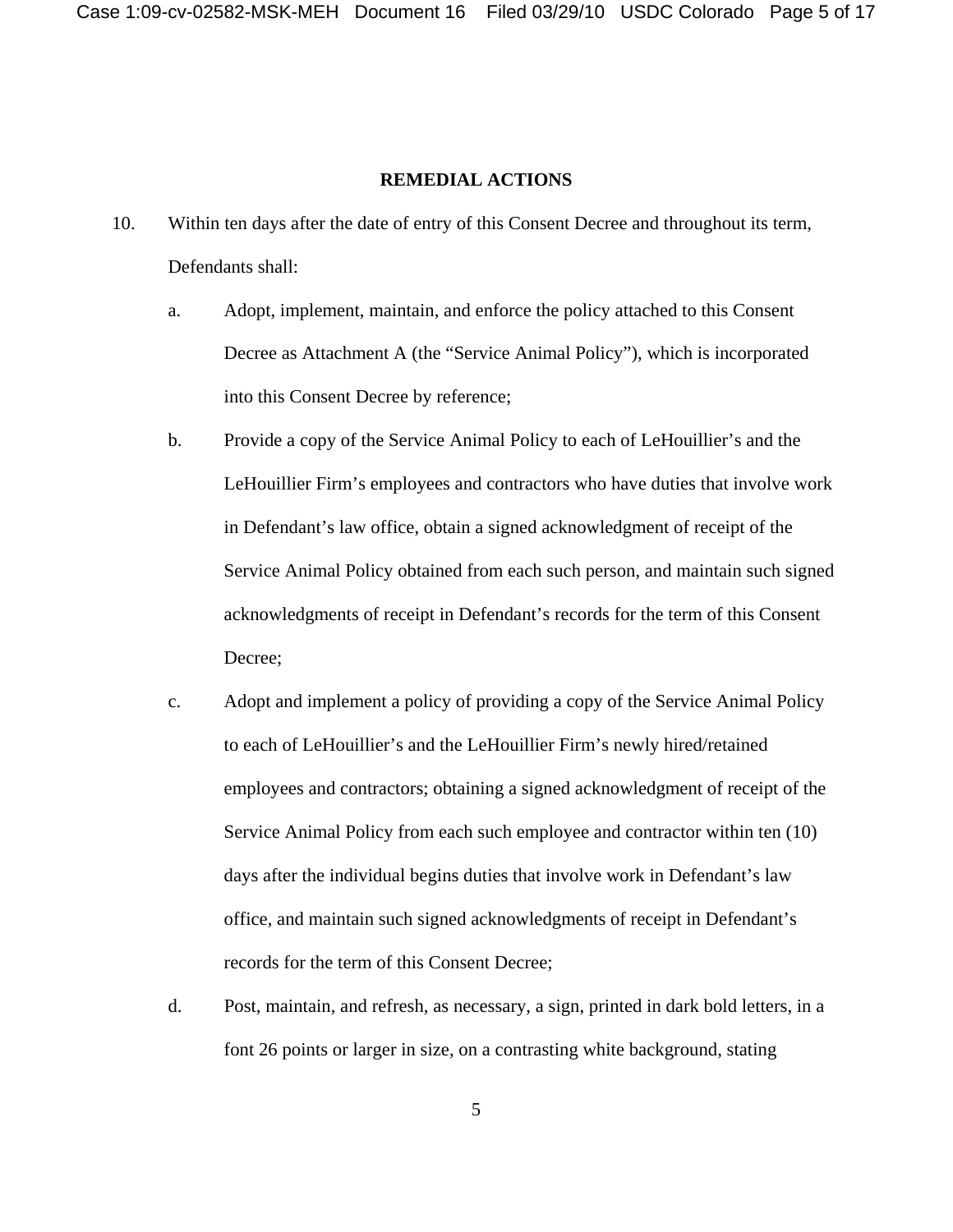## **REMEDIAL ACTIONS**

- 10. Within ten days after the date of entry of this Consent Decree and throughout its term, Defendants shall:
	- a. Adopt, implement, maintain, and enforce the policy attached to this Consent Decree as Attachment A (the "Service Animal Policy"), which is incorporated into this Consent Decree by reference;
	- b. Provide a copy of the Service Animal Policy to each of LeHouillier's and the LeHouillier Firm's employees and contractors who have duties that involve work in Defendant's law office, obtain a signed acknowledgment of receipt of the Service Animal Policy obtained from each such person, and maintain such signed acknowledgments of receipt in Defendant's records for the term of this Consent Decree;
	- c. Adopt and implement a policy of providing a copy of the Service Animal Policy to each of LeHouillier's and the LeHouillier Firm's newly hired/retained employees and contractors; obtaining a signed acknowledgment of receipt of the Service Animal Policy from each such employee and contractor within ten (10) days after the individual begins duties that involve work in Defendant's law office, and maintain such signed acknowledgments of receipt in Defendant's records for the term of this Consent Decree;
	- d. Post, maintain, and refresh, as necessary, a sign, printed in dark bold letters, in a font 26 points or larger in size, on a contrasting white background, stating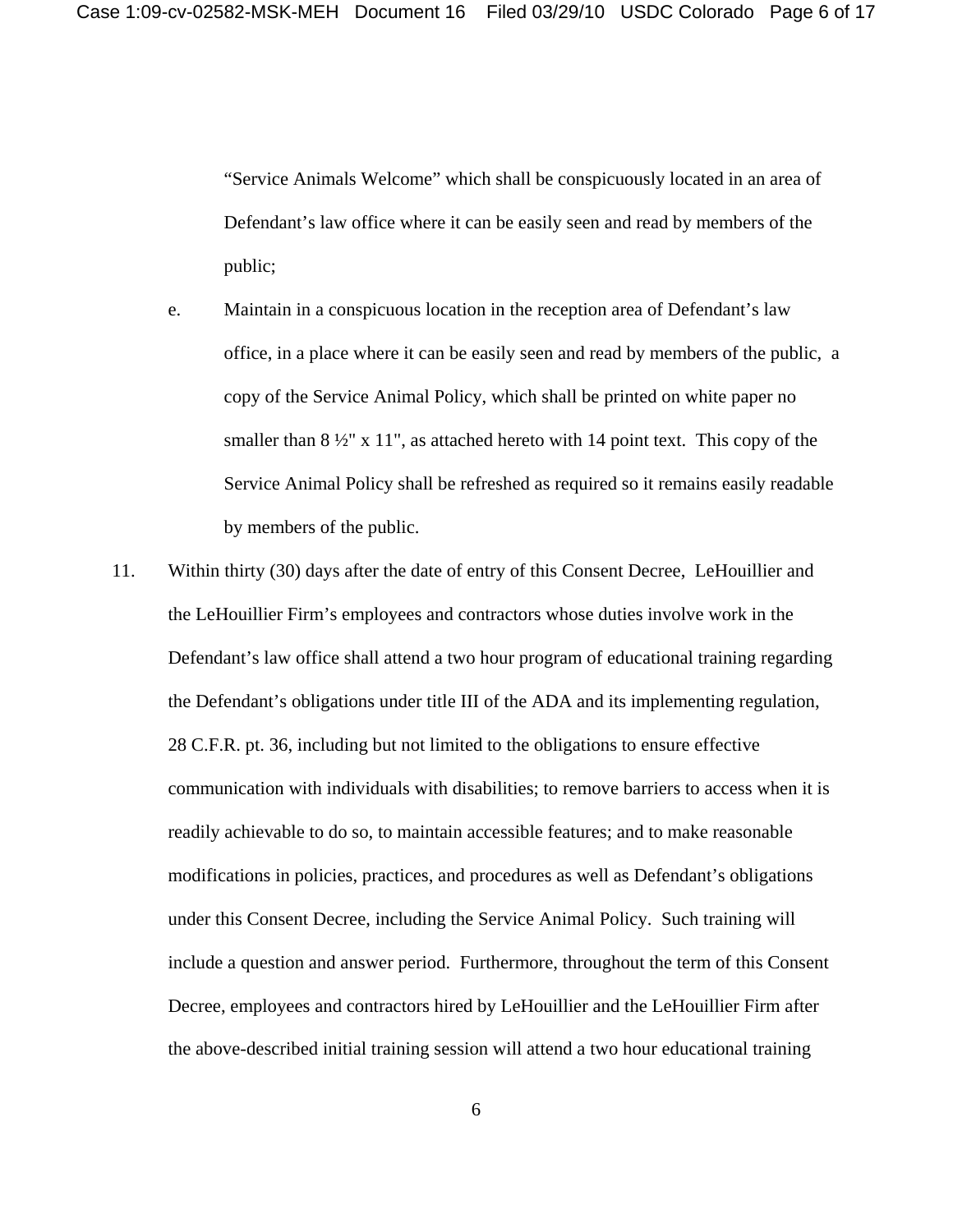"Service Animals Welcome" which shall be conspicuously located in an area of Defendant's law office where it can be easily seen and read by members of the public;

- e. Maintain in a conspicuous location in the reception area of Defendant's law office, in a place where it can be easily seen and read by members of the public, a copy of the Service Animal Policy, which shall be printed on white paper no smaller than  $8\frac{1}{2}$ " x 11", as attached hereto with 14 point text. This copy of the Service Animal Policy shall be refreshed as required so it remains easily readable by members of the public.
- 11. Within thirty (30) days after the date of entry of this Consent Decree, LeHouillier and the LeHouillier Firm's employees and contractors whose duties involve work in the Defendant's law office shall attend a two hour program of educational training regarding the Defendant's obligations under title III of the ADA and its implementing regulation, 28 C.F.R. pt. 36, including but not limited to the obligations to ensure effective communication with individuals with disabilities; to remove barriers to access when it is readily achievable to do so, to maintain accessible features; and to make reasonable modifications in policies, practices, and procedures as well as Defendant's obligations under this Consent Decree, including the Service Animal Policy. Such training will include a question and answer period. Furthermore, throughout the term of this Consent Decree, employees and contractors hired by LeHouillier and the LeHouillier Firm after the above-described initial training session will attend a two hour educational training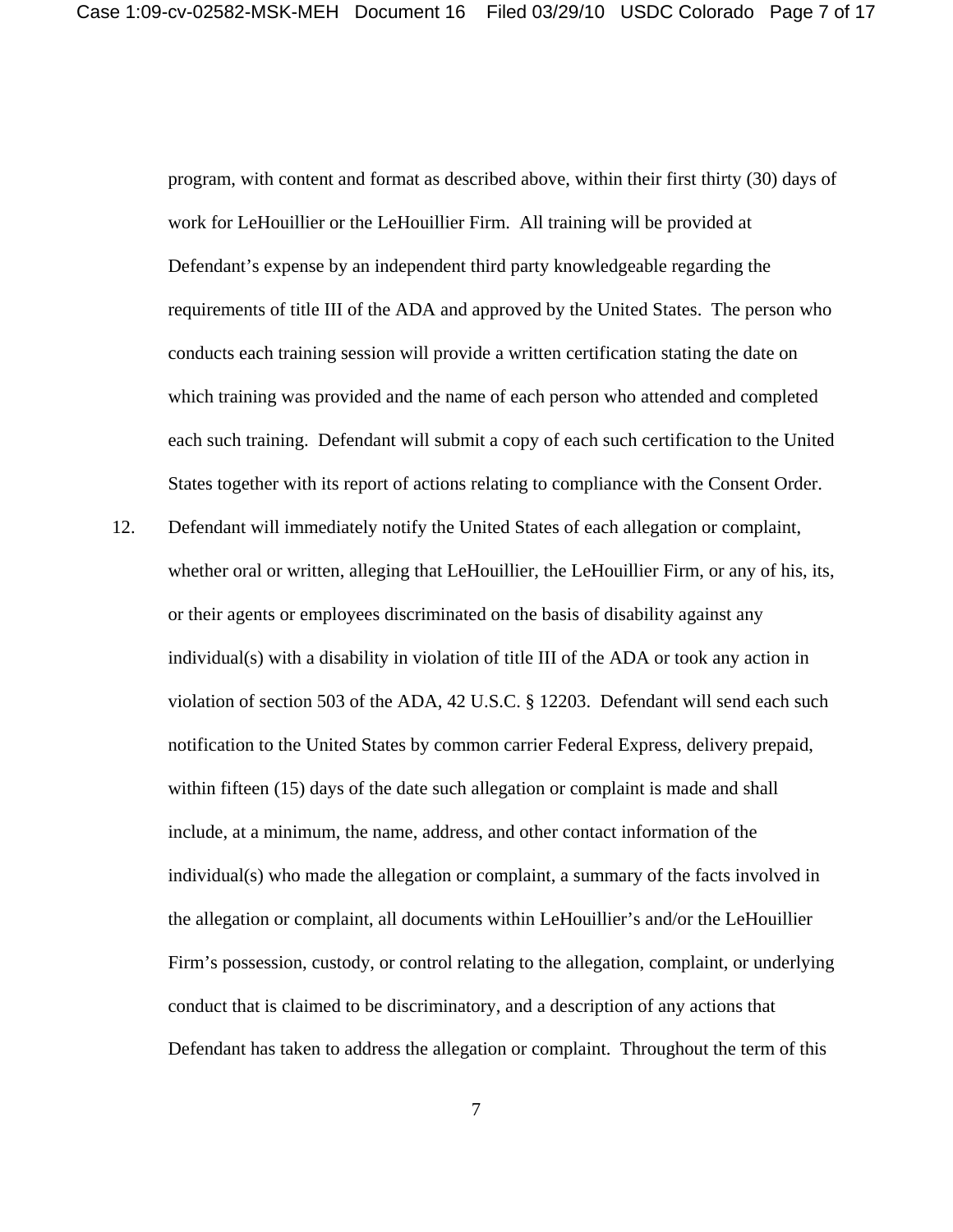program, with content and format as described above, within their first thirty (30) days of work for LeHouillier or the LeHouillier Firm. All training will be provided at Defendant's expense by an independent third party knowledgeable regarding the requirements of title III of the ADA and approved by the United States. The person who conducts each training session will provide a written certification stating the date on which training was provided and the name of each person who attended and completed each such training. Defendant will submit a copy of each such certification to the United States together with its report of actions relating to compliance with the Consent Order.

12. Defendant will immediately notify the United States of each allegation or complaint, whether oral or written, alleging that LeHouillier, the LeHouillier Firm, or any of his, its, or their agents or employees discriminated on the basis of disability against any individual(s) with a disability in violation of title III of the ADA or took any action in violation of section 503 of the ADA, 42 U.S.C. § 12203. Defendant will send each such notification to the United States by common carrier Federal Express, delivery prepaid, within fifteen (15) days of the date such allegation or complaint is made and shall include, at a minimum, the name, address, and other contact information of the individual(s) who made the allegation or complaint, a summary of the facts involved in the allegation or complaint, all documents within LeHouillier's and/or the LeHouillier Firm's possession, custody, or control relating to the allegation, complaint, or underlying conduct that is claimed to be discriminatory, and a description of any actions that Defendant has taken to address the allegation or complaint. Throughout the term of this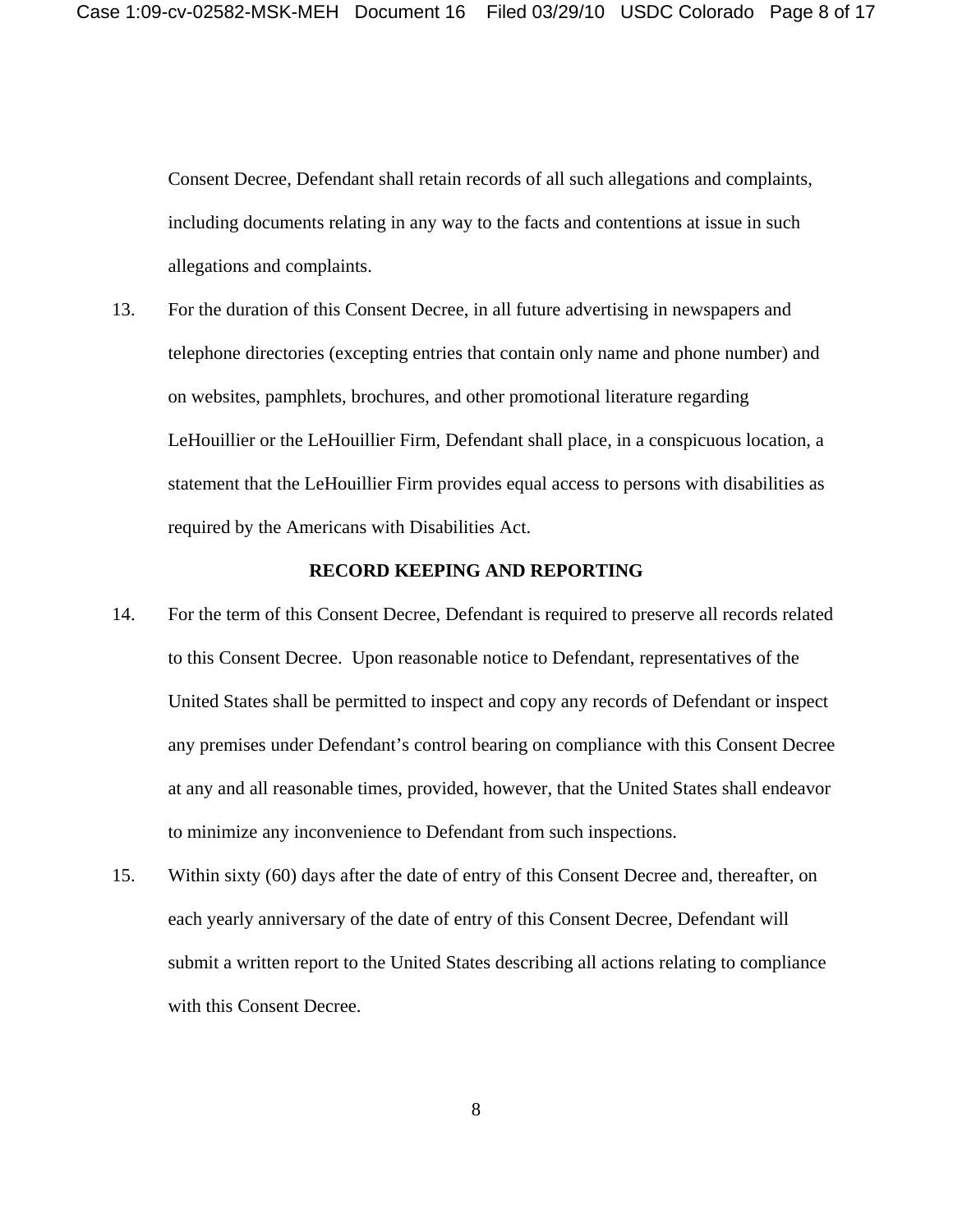Consent Decree, Defendant shall retain records of all such allegations and complaints, including documents relating in any way to the facts and contentions at issue in such allegations and complaints.

13. For the duration of this Consent Decree, in all future advertising in newspapers and telephone directories (excepting entries that contain only name and phone number) and on websites, pamphlets, brochures, and other promotional literature regarding LeHouillier or the LeHouillier Firm, Defendant shall place, in a conspicuous location, a statement that the LeHouillier Firm provides equal access to persons with disabilities as required by the Americans with Disabilities Act.

#### **RECORD KEEPING AND REPORTING**

- 14. For the term of this Consent Decree, Defendant is required to preserve all records related to this Consent Decree. Upon reasonable notice to Defendant, representatives of the United States shall be permitted to inspect and copy any records of Defendant or inspect any premises under Defendant's control bearing on compliance with this Consent Decree at any and all reasonable times, provided, however, that the United States shall endeavor to minimize any inconvenience to Defendant from such inspections.
- 15. Within sixty (60) days after the date of entry of this Consent Decree and, thereafter, on each yearly anniversary of the date of entry of this Consent Decree, Defendant will submit a written report to the United States describing all actions relating to compliance with this Consent Decree.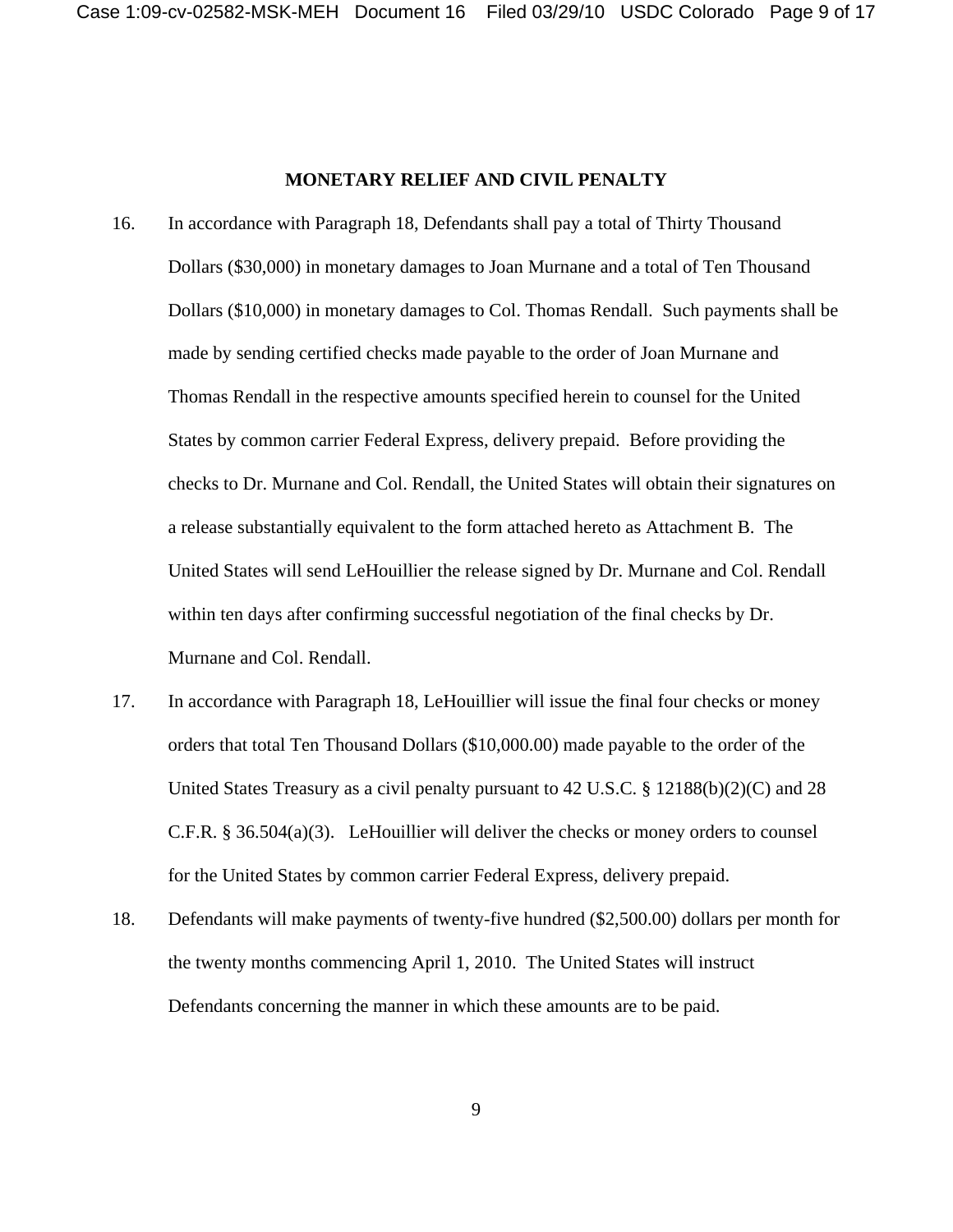#### **MONETARY RELIEF AND CIVIL PENALTY**

- 16. In accordance with Paragraph 18, Defendants shall pay a total of Thirty Thousand Dollars (\$30,000) in monetary damages to Joan Murnane and a total of Ten Thousand Dollars (\$10,000) in monetary damages to Col. Thomas Rendall. Such payments shall be made by sending certified checks made payable to the order of Joan Murnane and Thomas Rendall in the respective amounts specified herein to counsel for the United States by common carrier Federal Express, delivery prepaid. Before providing the checks to Dr. Murnane and Col. Rendall, the United States will obtain their signatures on a release substantially equivalent to the form attached hereto as Attachment B. The United States will send LeHouillier the release signed by Dr. Murnane and Col. Rendall within ten days after confirming successful negotiation of the final checks by Dr. Murnane and Col. Rendall.
- 17. In accordance with Paragraph 18, LeHouillier will issue the final four checks or money orders that total Ten Thousand Dollars (\$10,000.00) made payable to the order of the United States Treasury as a civil penalty pursuant to 42 U.S.C. § 12188(b)(2)(C) and 28 C.F.R. § 36.504(a)(3). LeHouillier will deliver the checks or money orders to counsel for the United States by common carrier Federal Express, delivery prepaid.
- 18. Defendants will make payments of twenty-five hundred (\$2,500.00) dollars per month for the twenty months commencing April 1, 2010. The United States will instruct Defendants concerning the manner in which these amounts are to be paid.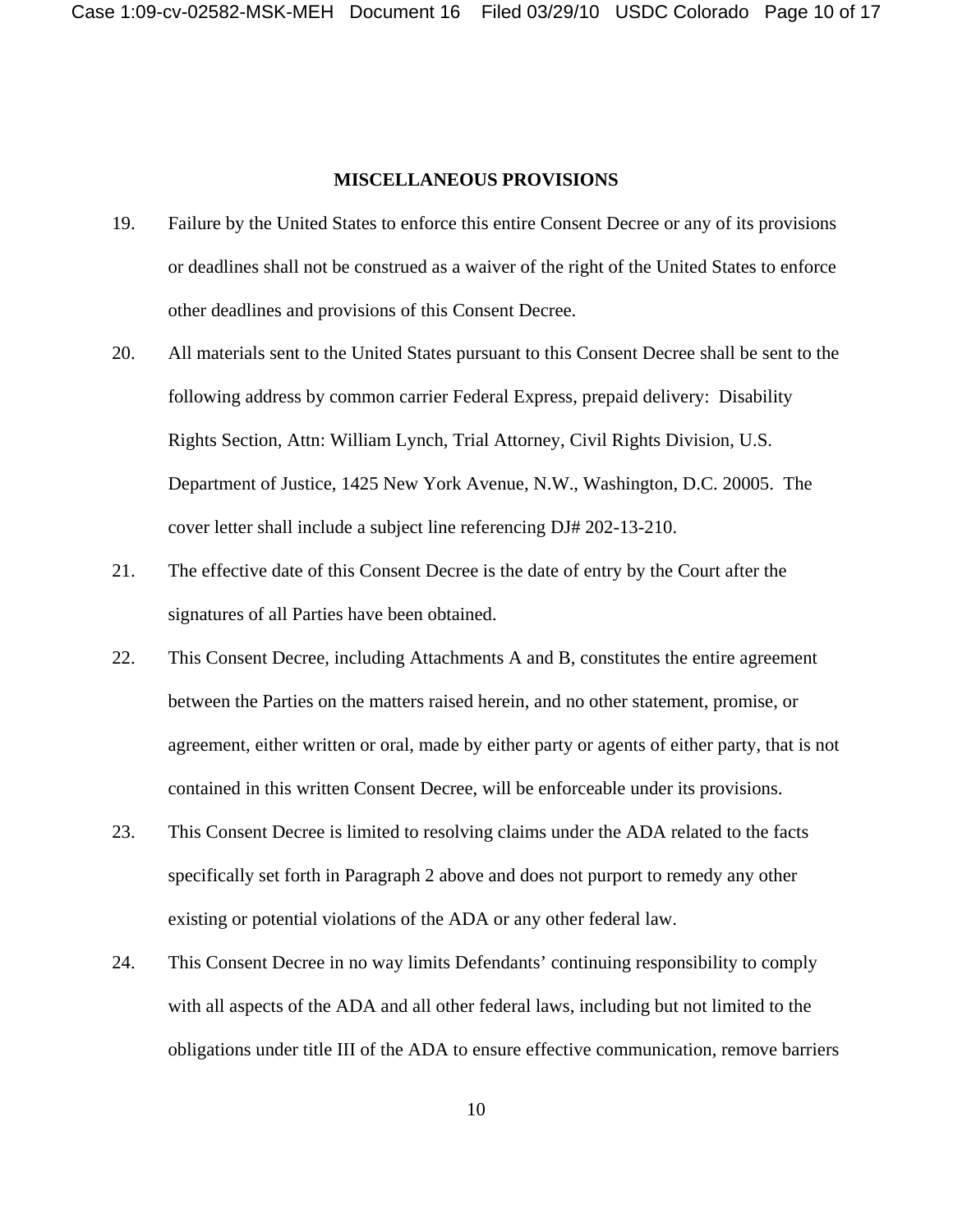#### **MISCELLANEOUS PROVISIONS**

- 19. Failure by the United States to enforce this entire Consent Decree or any of its provisions or deadlines shall not be construed as a waiver of the right of the United States to enforce other deadlines and provisions of this Consent Decree.
- 20. All materials sent to the United States pursuant to this Consent Decree shall be sent to the following address by common carrier Federal Express, prepaid delivery: Disability Rights Section, Attn: William Lynch, Trial Attorney, Civil Rights Division, U.S. Department of Justice, 1425 New York Avenue, N.W., Washington, D.C. 20005. The cover letter shall include a subject line referencing DJ# 202-13-210.
- 21. The effective date of this Consent Decree is the date of entry by the Court after the signatures of all Parties have been obtained.
- 22. This Consent Decree, including Attachments A and B, constitutes the entire agreement between the Parties on the matters raised herein, and no other statement, promise, or agreement, either written or oral, made by either party or agents of either party, that is not contained in this written Consent Decree, will be enforceable under its provisions.
- 23. This Consent Decree is limited to resolving claims under the ADA related to the facts specifically set forth in Paragraph 2 above and does not purport to remedy any other existing or potential violations of the ADA or any other federal law.
- 24. This Consent Decree in no way limits Defendants' continuing responsibility to comply with all aspects of the ADA and all other federal laws, including but not limited to the obligations under title III of the ADA to ensure effective communication, remove barriers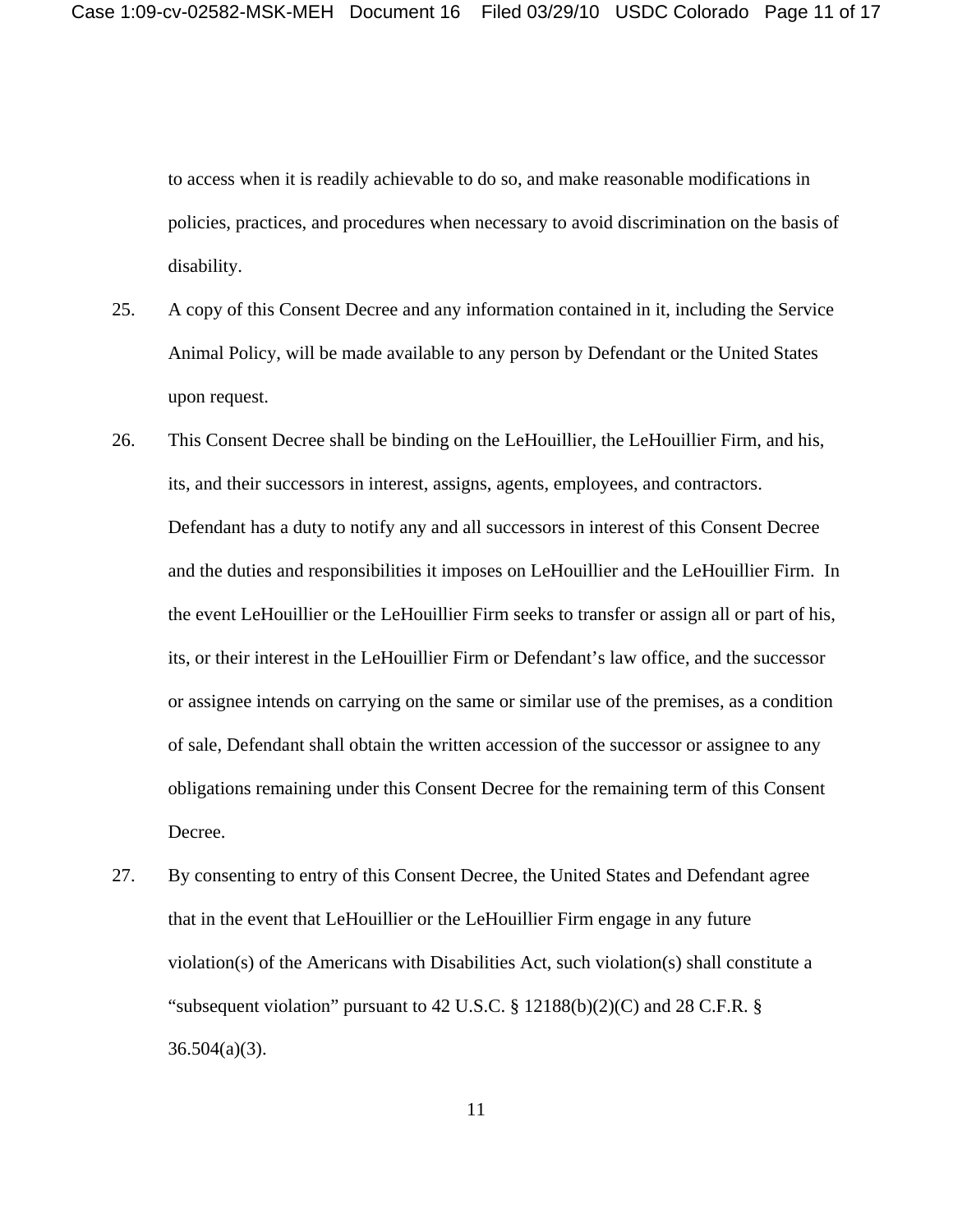to access when it is readily achievable to do so, and make reasonable modifications in policies, practices, and procedures when necessary to avoid discrimination on the basis of disability.

- 25. A copy of this Consent Decree and any information contained in it, including the Service Animal Policy, will be made available to any person by Defendant or the United States upon request.
- 26. This Consent Decree shall be binding on the LeHouillier, the LeHouillier Firm, and his, its, and their successors in interest, assigns, agents, employees, and contractors. Defendant has a duty to notify any and all successors in interest of this Consent Decree and the duties and responsibilities it imposes on LeHouillier and the LeHouillier Firm. In the event LeHouillier or the LeHouillier Firm seeks to transfer or assign all or part of his, its, or their interest in the LeHouillier Firm or Defendant's law office, and the successor or assignee intends on carrying on the same or similar use of the premises, as a condition of sale, Defendant shall obtain the written accession of the successor or assignee to any obligations remaining under this Consent Decree for the remaining term of this Consent Decree.
- 27. By consenting to entry of this Consent Decree, the United States and Defendant agree that in the event that LeHouillier or the LeHouillier Firm engage in any future violation(s) of the Americans with Disabilities Act, such violation(s) shall constitute a "subsequent violation" pursuant to 42 U.S.C. § 12188(b)(2)(C) and 28 C.F.R. § 36.504(a)(3).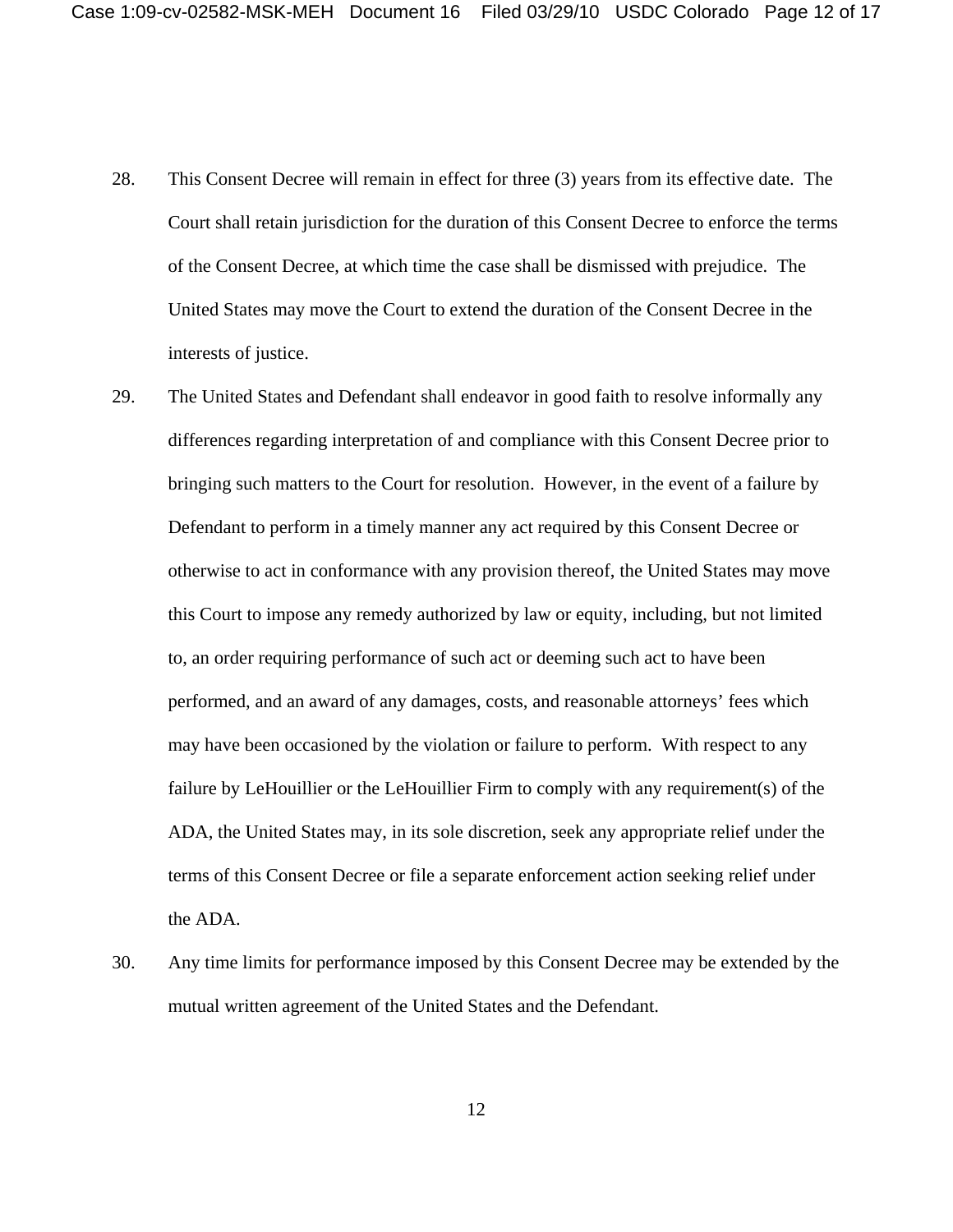- 28. This Consent Decree will remain in effect for three (3) years from its effective date. The Court shall retain jurisdiction for the duration of this Consent Decree to enforce the terms of the Consent Decree, at which time the case shall be dismissed with prejudice. The United States may move the Court to extend the duration of the Consent Decree in the interests of justice.
- 29. The United States and Defendant shall endeavor in good faith to resolve informally any differences regarding interpretation of and compliance with this Consent Decree prior to bringing such matters to the Court for resolution. However, in the event of a failure by Defendant to perform in a timely manner any act required by this Consent Decree or otherwise to act in conformance with any provision thereof, the United States may move this Court to impose any remedy authorized by law or equity, including, but not limited to, an order requiring performance of such act or deeming such act to have been performed, and an award of any damages, costs, and reasonable attorneys' fees which may have been occasioned by the violation or failure to perform. With respect to any failure by LeHouillier or the LeHouillier Firm to comply with any requirement(s) of the ADA, the United States may, in its sole discretion, seek any appropriate relief under the terms of this Consent Decree or file a separate enforcement action seeking relief under the ADA.
- 30. Any time limits for performance imposed by this Consent Decree may be extended by the mutual written agreement of the United States and the Defendant.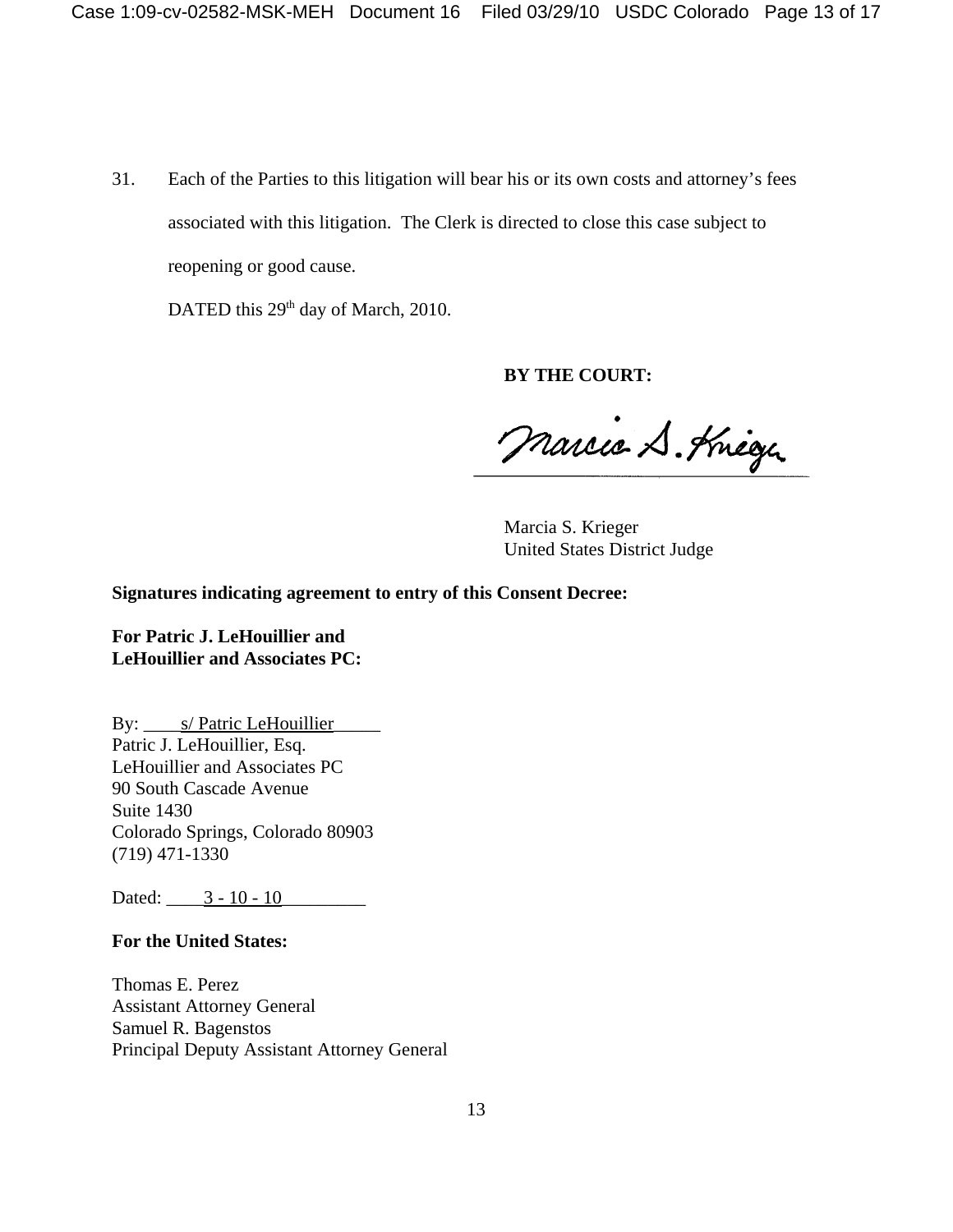31. Each of the Parties to this litigation will bear his or its own costs and attorney's fees associated with this litigation. The Clerk is directed to close this case subject to reopening or good cause.

DATED this 29<sup>th</sup> day of March, 2010.

**BY THE COURT:**

Marcio S. Knege

Marcia S. Krieger United States District Judge

**Signatures indicating agreement to entry of this Consent Decree:**

**For Patric J. LeHouillier and LeHouillier and Associates PC:**

By: <u>\_\_\_\_s/ Patric LeHouillier</u> Patric J. LeHouillier, Esq. LeHouillier and Associates PC 90 South Cascade Avenue Suite 1430 Colorado Springs, Colorado 80903 (719) 471-1330

Dated: 3 - 10 - 10

#### **For the United States:**

Thomas E. Perez Assistant Attorney General Samuel R. Bagenstos Principal Deputy Assistant Attorney General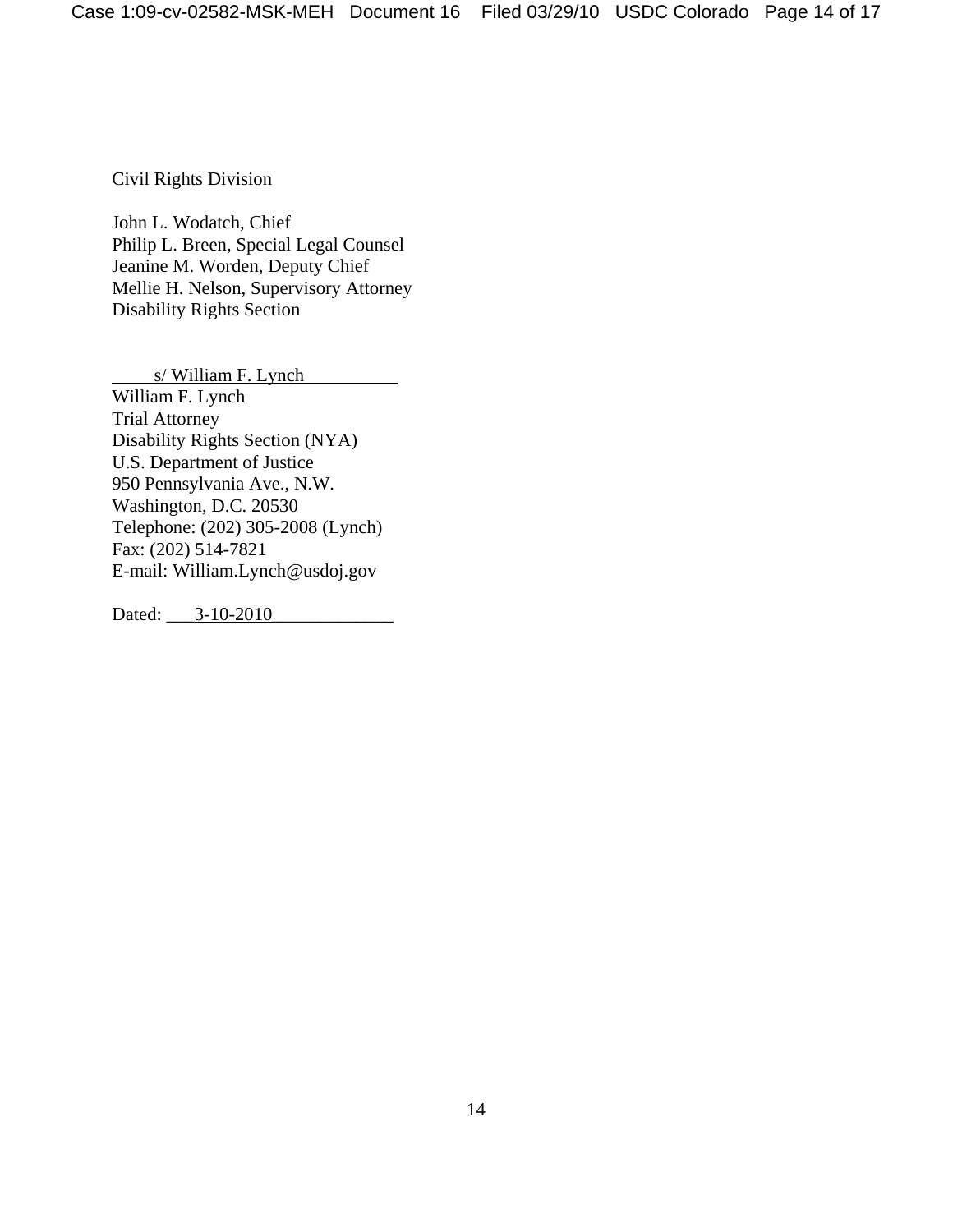Civil Rights Division

John L. Wodatch, Chief Philip L. Breen, Special Legal Counsel Jeanine M. Worden, Deputy Chief Mellie H. Nelson, Supervisory Attorney Disability Rights Section

s/ William F. Lynch William F. Lynch Trial Attorney Disability Rights Section (NYA) U.S. Department of Justice 950 Pennsylvania Ave., N.W. Washington, D.C. 20530 Telephone: (202) 305-2008 (Lynch) Fax: (202) 514-7821 E-mail: William.Lynch@usdoj.gov

Dated: \_\_\_3-10-2010\_\_\_\_\_\_\_\_\_\_\_\_\_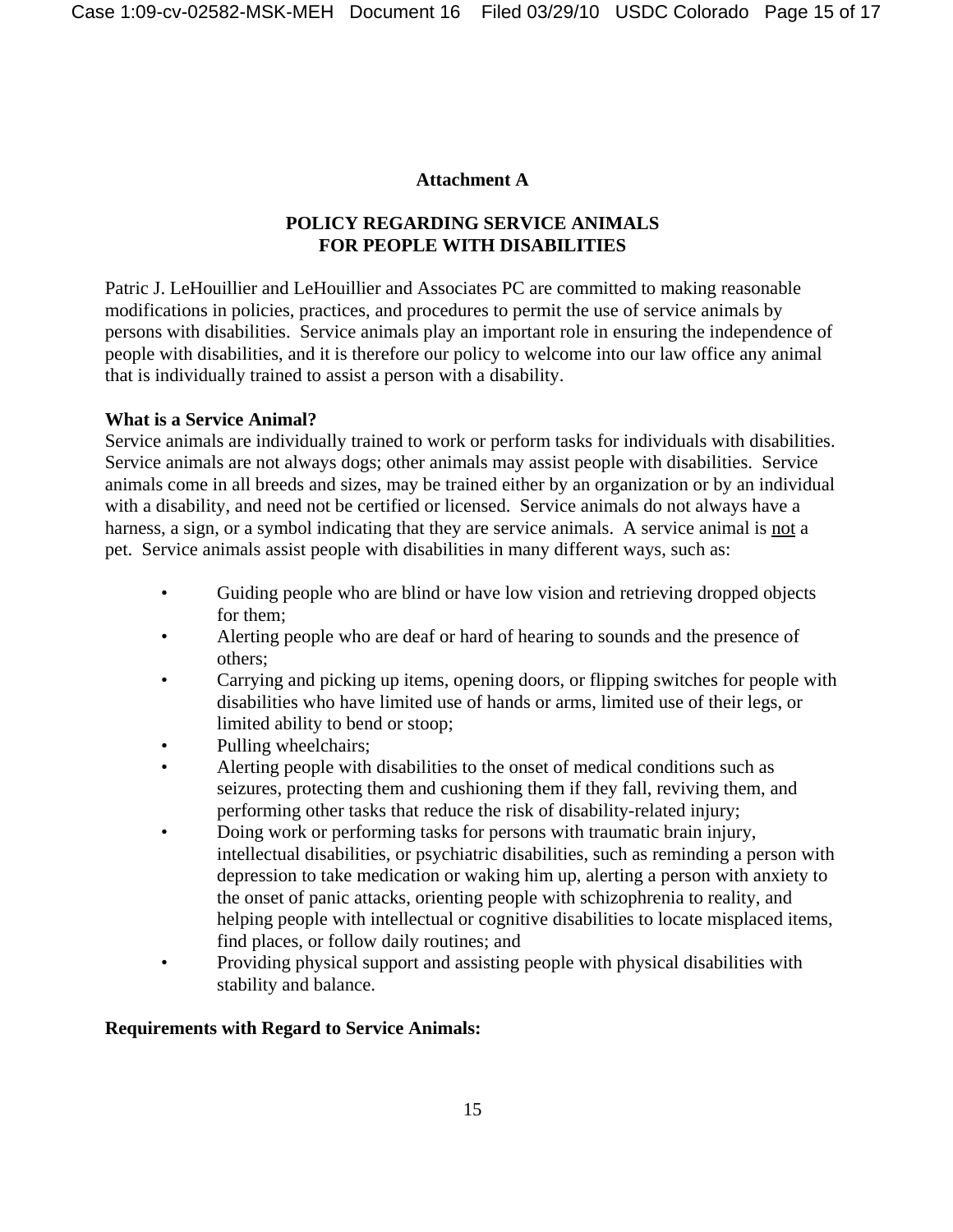## **Attachment A**

# **POLICY REGARDING SERVICE ANIMALS FOR PEOPLE WITH DISABILITIES**

Patric J. LeHouillier and LeHouillier and Associates PC are committed to making reasonable modifications in policies, practices, and procedures to permit the use of service animals by persons with disabilities. Service animals play an important role in ensuring the independence of people with disabilities, and it is therefore our policy to welcome into our law office any animal that is individually trained to assist a person with a disability.

# **What is a Service Animal?**

Service animals are individually trained to work or perform tasks for individuals with disabilities. Service animals are not always dogs; other animals may assist people with disabilities. Service animals come in all breeds and sizes, may be trained either by an organization or by an individual with a disability, and need not be certified or licensed. Service animals do not always have a harness, a sign, or a symbol indicating that they are service animals. A service animal is not a pet. Service animals assist people with disabilities in many different ways, such as:

- Guiding people who are blind or have low vision and retrieving dropped objects for them;
- Alerting people who are deaf or hard of hearing to sounds and the presence of others;
- Carrying and picking up items, opening doors, or flipping switches for people with disabilities who have limited use of hands or arms, limited use of their legs, or limited ability to bend or stoop;
- Pulling wheelchairs;
- Alerting people with disabilities to the onset of medical conditions such as seizures, protecting them and cushioning them if they fall, reviving them, and performing other tasks that reduce the risk of disability-related injury;
- Doing work or performing tasks for persons with traumatic brain injury, intellectual disabilities, or psychiatric disabilities, such as reminding a person with depression to take medication or waking him up, alerting a person with anxiety to the onset of panic attacks, orienting people with schizophrenia to reality, and helping people with intellectual or cognitive disabilities to locate misplaced items, find places, or follow daily routines; and
- Providing physical support and assisting people with physical disabilities with stability and balance.

# **Requirements with Regard to Service Animals:**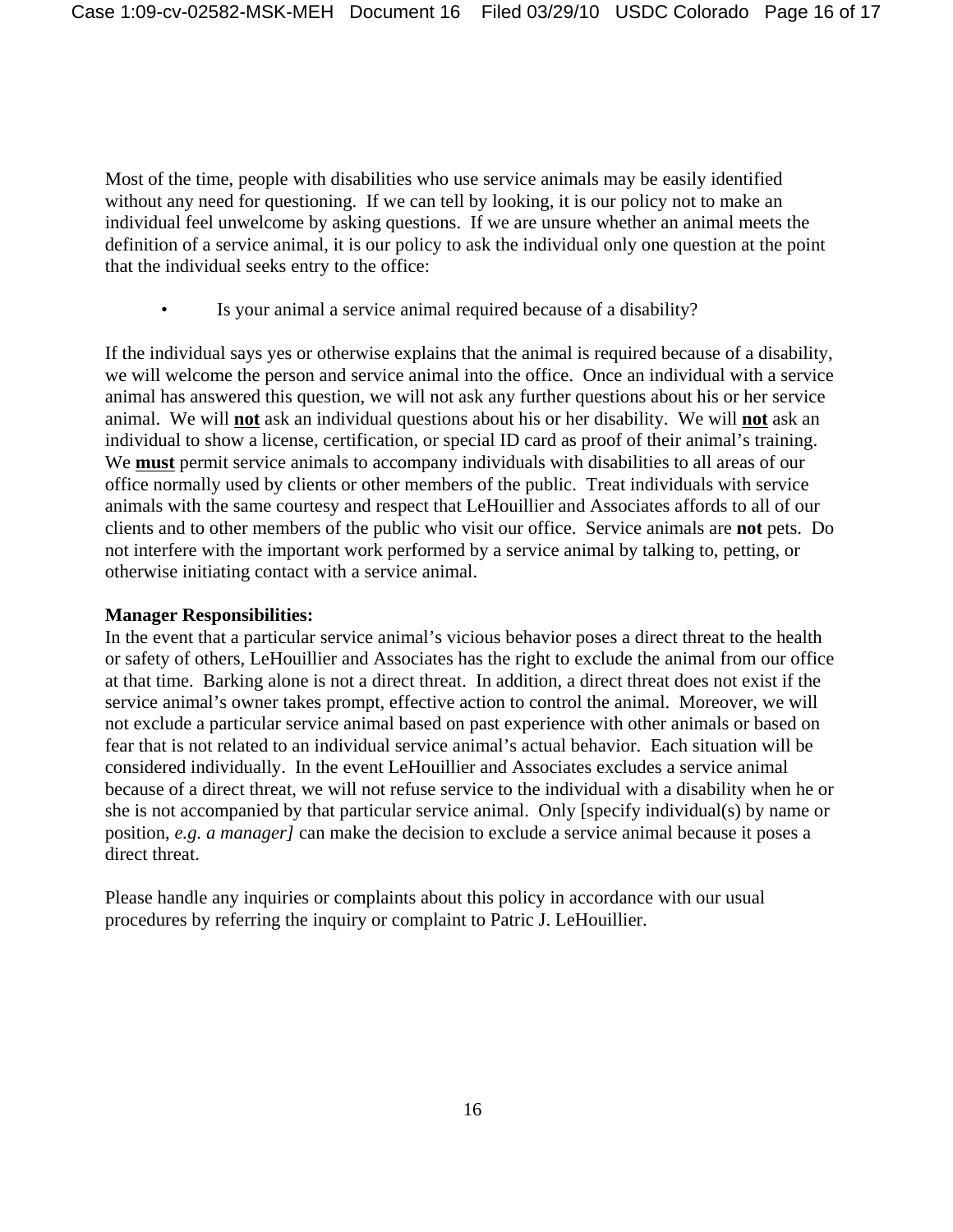Most of the time, people with disabilities who use service animals may be easily identified without any need for questioning. If we can tell by looking, it is our policy not to make an individual feel unwelcome by asking questions. If we are unsure whether an animal meets the definition of a service animal, it is our policy to ask the individual only one question at the point that the individual seeks entry to the office:

• Is your animal a service animal required because of a disability?

If the individual says yes or otherwise explains that the animal is required because of a disability, we will welcome the person and service animal into the office. Once an individual with a service animal has answered this question, we will not ask any further questions about his or her service animal. We will **not** ask an individual questions about his or her disability. We will **not** ask an individual to show a license, certification, or special ID card as proof of their animal's training. We **must** permit service animals to accompany individuals with disabilities to all areas of our office normally used by clients or other members of the public. Treat individuals with service animals with the same courtesy and respect that LeHouillier and Associates affords to all of our clients and to other members of the public who visit our office. Service animals are **not** pets. Do not interfere with the important work performed by a service animal by talking to, petting, or otherwise initiating contact with a service animal.

## **Manager Responsibilities:**

In the event that a particular service animal's vicious behavior poses a direct threat to the health or safety of others, LeHouillier and Associates has the right to exclude the animal from our office at that time. Barking alone is not a direct threat. In addition, a direct threat does not exist if the service animal's owner takes prompt, effective action to control the animal. Moreover, we will not exclude a particular service animal based on past experience with other animals or based on fear that is not related to an individual service animal's actual behavior. Each situation will be considered individually. In the event LeHouillier and Associates excludes a service animal because of a direct threat, we will not refuse service to the individual with a disability when he or she is not accompanied by that particular service animal. Only [specify individual(s) by name or position, *e.g. a manager]* can make the decision to exclude a service animal because it poses a direct threat.

Please handle any inquiries or complaints about this policy in accordance with our usual procedures by referring the inquiry or complaint to Patric J. LeHouillier.